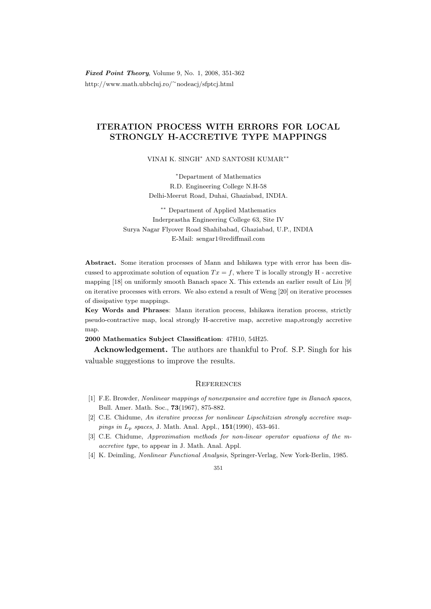Fixed Point Theory, Volume 9, No. 1, 2008, 351-362 http://www.math.ubbcluj.ro/<sup>∼</sup>nodeacj/sfptcj.html

## ITERATION PROCESS WITH ERRORS FOR LOCAL STRONGLY H-ACCRETIVE TYPE MAPPINGS

VINAI K. SINGH<sup>∗</sup> AND SANTOSH KUMAR∗∗

<sup>∗</sup>Department of Mathematics R.D. Engineering College N.H-58 Delhi-Meerut Road, Duhai, Ghaziabad, INDIA.

∗∗ Department of Applied Mathematics Inderprastha Engineering College 63, Site IV Surya Nagar Flyover Road Shahibabad, Ghaziabad, U.P., INDIA E-Mail: sengar1@rediffmail.com

Abstract. Some iteration processes of Mann and Ishikawa type with error has been discussed to approximate solution of equation  $Tx = f$ , where T is locally strongly H - accretive mapping [18] on uniformly smooth Banach space X. This extends an earlier result of Liu [9] on iterative processes with errors. We also extend a result of Weng [20] on iterative processes of dissipative type mappings.

Key Words and Phrases: Mann iteration process, Ishikawa iteration process, strictly pseudo-contractive map, local strongly H-accretive map, accretive map,strongly accretive map.

2000 Mathematics Subject Classification: 47H10, 54H25.

Acknowledgement. The authors are thankful to Prof. S.P. Singh for his valuable suggestions to improve the results.

## **REFERENCES**

- [1] F.E. Browder, Nonlinear mappings of nonexpansive and accretive type in Banach spaces, Bull. Amer. Math. Soc., 73(1967), 875-882.
- [2] C.E. Chidume, An iterative process for nonlinear Lipschitzian strongly accretive mappings in  $L_p$  spaces, J. Math. Anal. Appl.,  $151(1990)$ , 453-461.
- [3] C.E. Chidume, Approximation methods for non-linear operator equations of the maccretive type, to appear in J. Math. Anal. Appl.
- [4] K. Deimling, Nonlinear Functional Analysis, Springer-Verlag, New York-Berlin, 1985.

351